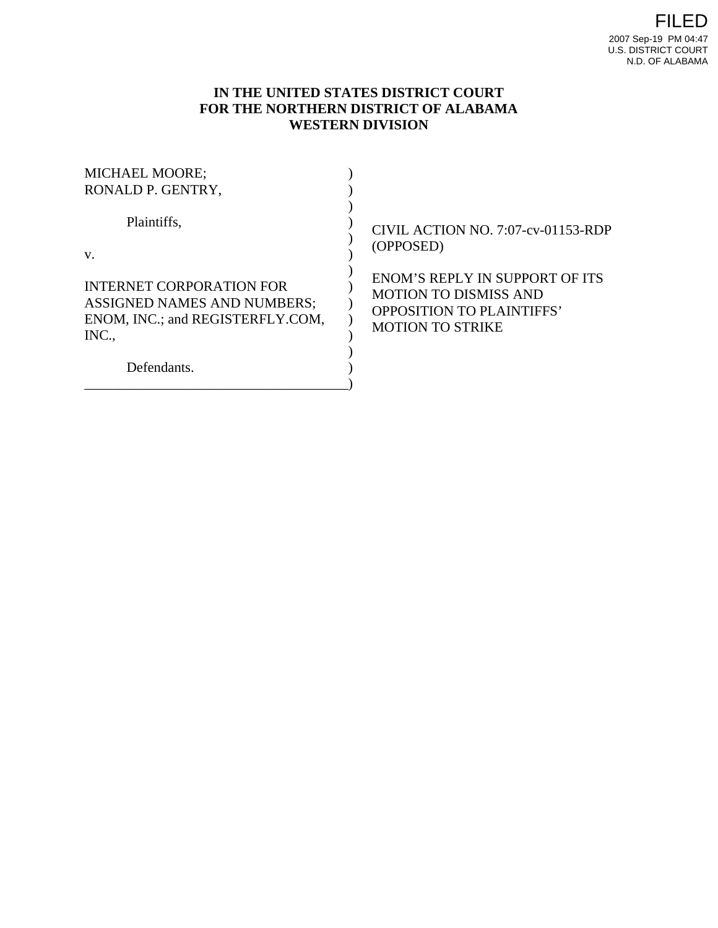# **IN THE UNITED STATES DISTRICT COURT FOR THE NORTHERN DISTRICT OF ALABAMA WESTERN DIVISION**

| <b>MICHAEL MOORE;</b><br>RONALD P. GENTRY, |                                       |
|--------------------------------------------|---------------------------------------|
| Plaintiffs,                                | CIVIL ACTION NO. 7:07-cv-01153-RDP    |
| $V_{\cdot}$                                | (OPPOSED)                             |
| INTERNET CORPORATION FOR                   | <b>ENOM'S REPLY IN SUPPORT OF ITS</b> |
| <b>ASSIGNED NAMES AND NUMBERS;</b>         | <b>MOTION TO DISMISS AND</b>          |
| ENOM, INC.; and REGISTERFLY.COM,           | <b>OPPOSITION TO PLAINTIFFS'</b>      |
| INC.,                                      | <b>MOTION TO STRIKE</b>               |
| Defendants.                                |                                       |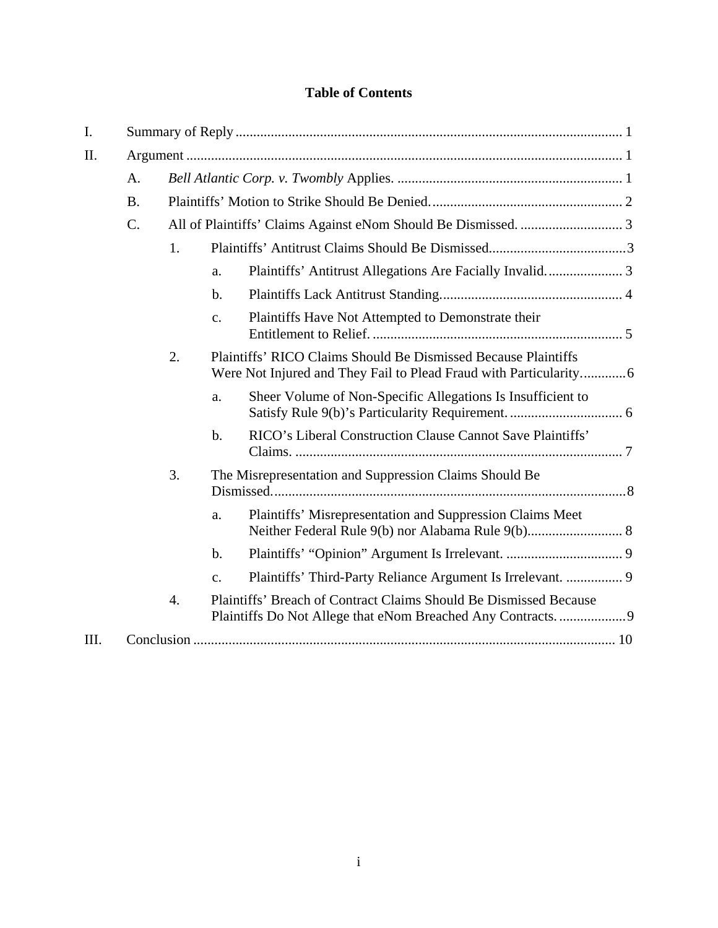# **Table of Contents**

| I.  |           |                                                                                       |                                                                                                                                      |                                                             |
|-----|-----------|---------------------------------------------------------------------------------------|--------------------------------------------------------------------------------------------------------------------------------------|-------------------------------------------------------------|
| II. |           |                                                                                       |                                                                                                                                      |                                                             |
|     | A.        |                                                                                       |                                                                                                                                      |                                                             |
|     | <b>B.</b> |                                                                                       |                                                                                                                                      |                                                             |
|     | $C$ .     |                                                                                       |                                                                                                                                      |                                                             |
|     |           | 1.                                                                                    |                                                                                                                                      |                                                             |
|     |           |                                                                                       | a.                                                                                                                                   | Plaintiffs' Antitrust Allegations Are Facially Invalid 3    |
|     |           |                                                                                       | $\mathbf{b}$ .                                                                                                                       |                                                             |
|     |           |                                                                                       | c.                                                                                                                                   | Plaintiffs Have Not Attempted to Demonstrate their          |
|     | 2.        |                                                                                       | Plaintiffs' RICO Claims Should Be Dismissed Because Plaintiffs<br>Were Not Injured and They Fail to Plead Fraud with Particularity 6 |                                                             |
|     |           |                                                                                       | a.                                                                                                                                   | Sheer Volume of Non-Specific Allegations Is Insufficient to |
|     |           |                                                                                       | $b$ .                                                                                                                                | RICO's Liberal Construction Clause Cannot Save Plaintiffs'  |
|     | 3.        |                                                                                       |                                                                                                                                      | The Misrepresentation and Suppression Claims Should Be      |
|     |           |                                                                                       | a.                                                                                                                                   | Plaintiffs' Misrepresentation and Suppression Claims Meet   |
|     |           |                                                                                       | b.                                                                                                                                   |                                                             |
|     |           |                                                                                       | $C_{\star}$                                                                                                                          |                                                             |
|     |           | Plaintiffs' Breach of Contract Claims Should Be Dismissed Because<br>$\overline{4}$ . |                                                                                                                                      |                                                             |
| Ш.  |           |                                                                                       |                                                                                                                                      |                                                             |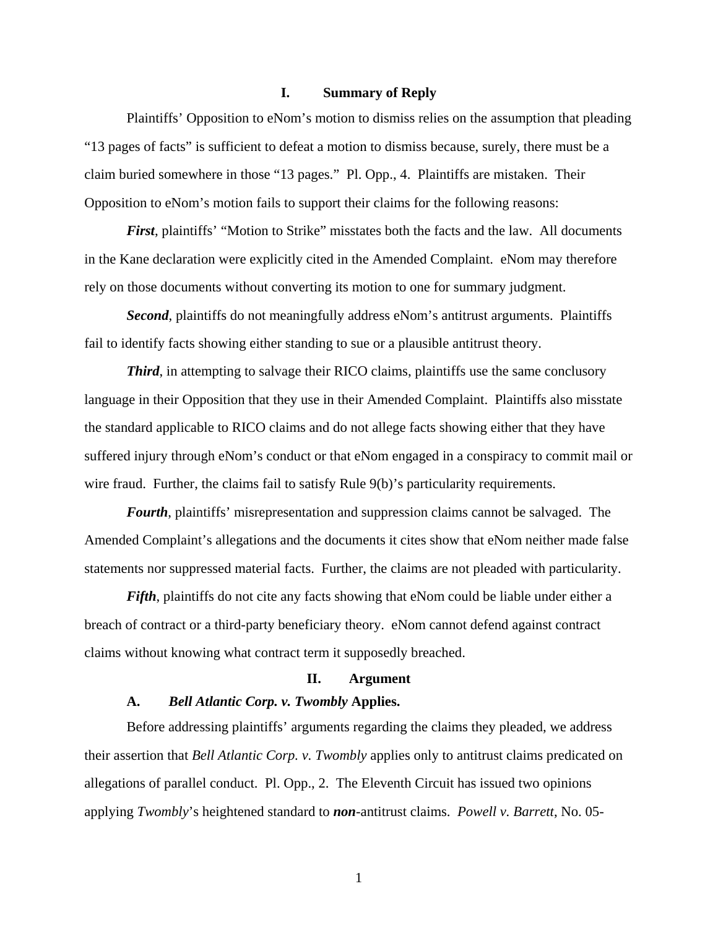## **I. Summary of Reply**

Plaintiffs' Opposition to eNom's motion to dismiss relies on the assumption that pleading "13 pages of facts" is sufficient to defeat a motion to dismiss because, surely, there must be a claim buried somewhere in those "13 pages." Pl. Opp., 4. Plaintiffs are mistaken. Their Opposition to eNom's motion fails to support their claims for the following reasons:

*First*, plaintiffs' "Motion to Strike" misstates both the facts and the law. All documents in the Kane declaration were explicitly cited in the Amended Complaint. eNom may therefore rely on those documents without converting its motion to one for summary judgment.

*Second*, plaintiffs do not meaningfully address eNom's antitrust arguments. Plaintiffs fail to identify facts showing either standing to sue or a plausible antitrust theory.

*Third*, in attempting to salvage their RICO claims, plaintiffs use the same conclusory language in their Opposition that they use in their Amended Complaint. Plaintiffs also misstate the standard applicable to RICO claims and do not allege facts showing either that they have suffered injury through eNom's conduct or that eNom engaged in a conspiracy to commit mail or wire fraud. Further, the claims fail to satisfy Rule 9(b)'s particularity requirements.

*Fourth*, plaintiffs' misrepresentation and suppression claims cannot be salvaged. The Amended Complaint's allegations and the documents it cites show that eNom neither made false statements nor suppressed material facts. Further, the claims are not pleaded with particularity.

*Fifth*, plaintiffs do not cite any facts showing that eNom could be liable under either a breach of contract or a third-party beneficiary theory. eNom cannot defend against contract claims without knowing what contract term it supposedly breached.

#### **II. Argument**

## **A.** *Bell Atlantic Corp. v. Twombly* **Applies.**

Before addressing plaintiffs' arguments regarding the claims they pleaded, we address their assertion that *Bell Atlantic Corp. v. Twombly* applies only to antitrust claims predicated on allegations of parallel conduct. Pl. Opp., 2. The Eleventh Circuit has issued two opinions applying *Twombly*'s heightened standard to *non*-antitrust claims. *Powell v. Barrett*, No. 05-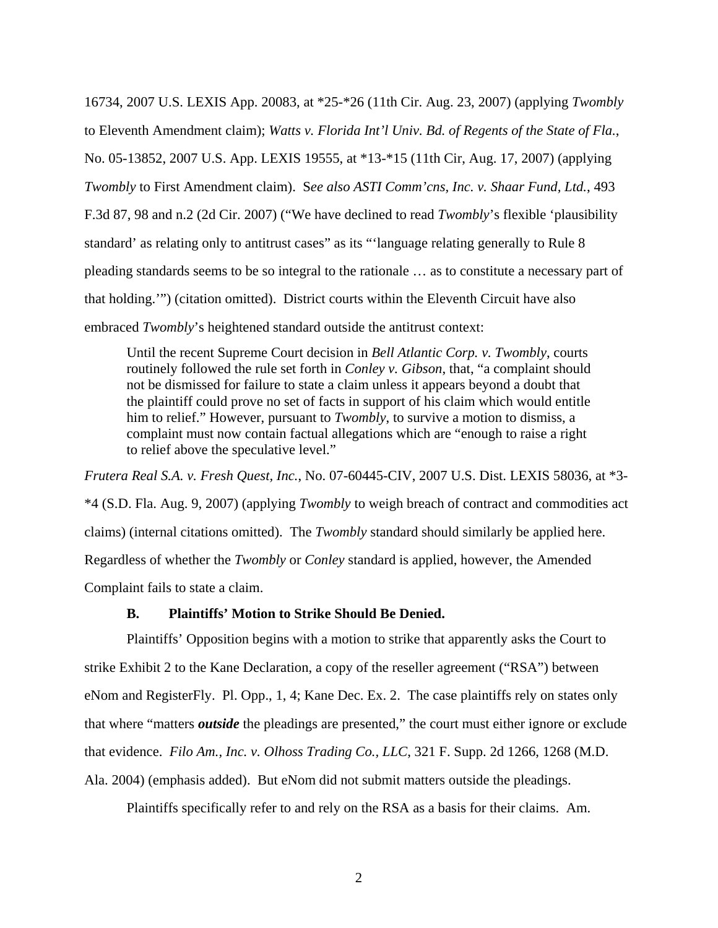16734, 2007 U.S. LEXIS App. 20083, at \*25-\*26 (11th Cir. Aug. 23, 2007) (applying *Twombly* to Eleventh Amendment claim); *Watts v. Florida Int'l Univ. Bd. of Regents of the State of Fla.*, No. 05-13852, 2007 U.S. App. LEXIS 19555, at \*13-\*15 (11th Cir, Aug. 17, 2007) (applying *Twombly* to First Amendment claim). S*ee also ASTI Comm'cns, Inc. v. Shaar Fund, Ltd.*, 493 F.3d 87, 98 and n.2 (2d Cir. 2007) ("We have declined to read *Twombly*'s flexible 'plausibility standard' as relating only to antitrust cases" as its "'language relating generally to Rule 8 pleading standards seems to be so integral to the rationale … as to constitute a necessary part of that holding.'") (citation omitted). District courts within the Eleventh Circuit have also embraced *Twombly*'s heightened standard outside the antitrust context:

Until the recent Supreme Court decision in *Bell Atlantic Corp. v. Twombly*, courts routinely followed the rule set forth in *Conley v. Gibson*, that, "a complaint should not be dismissed for failure to state a claim unless it appears beyond a doubt that the plaintiff could prove no set of facts in support of his claim which would entitle him to relief." However, pursuant to *Twombly*, to survive a motion to dismiss, a complaint must now contain factual allegations which are "enough to raise a right to relief above the speculative level."

*Frutera Real S.A. v. Fresh Quest, Inc.*, No. 07-60445-CIV, 2007 U.S. Dist. LEXIS 58036, at \*3- \*4 (S.D. Fla. Aug. 9, 2007) (applying *Twombly* to weigh breach of contract and commodities act claims) (internal citations omitted). The *Twombly* standard should similarly be applied here. Regardless of whether the *Twombly* or *Conley* standard is applied, however, the Amended Complaint fails to state a claim.

### **B. Plaintiffs' Motion to Strike Should Be Denied.**

Plaintiffs' Opposition begins with a motion to strike that apparently asks the Court to strike Exhibit 2 to the Kane Declaration, a copy of the reseller agreement ("RSA") between eNom and RegisterFly. Pl. Opp., 1, 4; Kane Dec. Ex. 2. The case plaintiffs rely on states only that where "matters *outside* the pleadings are presented," the court must either ignore or exclude that evidence. *Filo Am., Inc. v. Olhoss Trading Co., LLC*, 321 F. Supp. 2d 1266, 1268 (M.D. Ala. 2004) (emphasis added). But eNom did not submit matters outside the pleadings.

Plaintiffs specifically refer to and rely on the RSA as a basis for their claims. Am.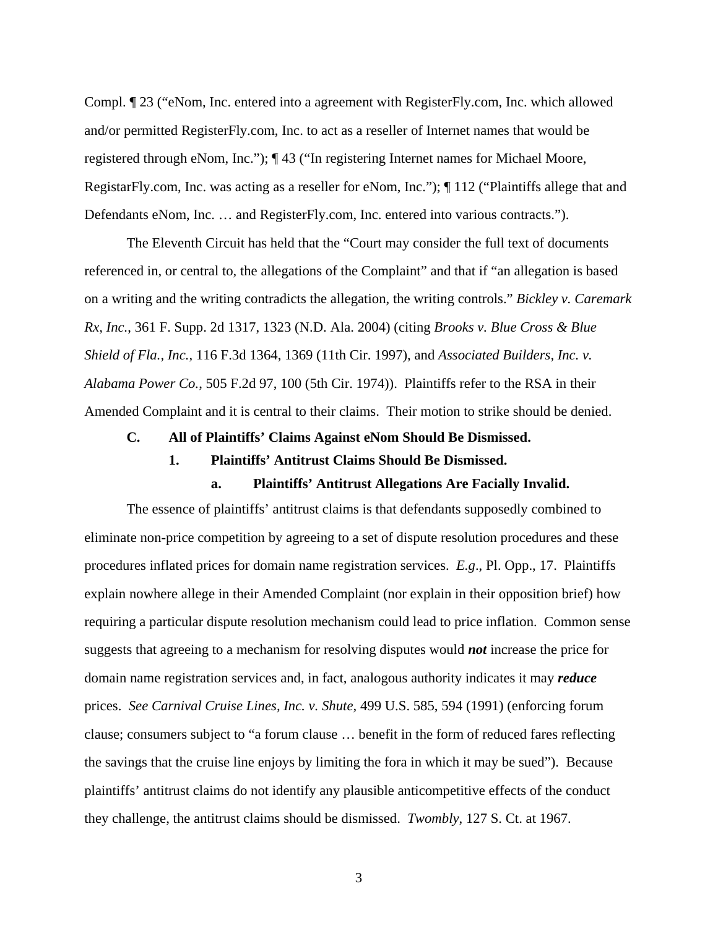Compl. ¶ 23 ("eNom, Inc. entered into a agreement with RegisterFly.com, Inc. which allowed and/or permitted RegisterFly.com, Inc. to act as a reseller of Internet names that would be registered through eNom, Inc."); ¶ 43 ("In registering Internet names for Michael Moore, RegistarFly.com, Inc. was acting as a reseller for eNom, Inc."); ¶ 112 ("Plaintiffs allege that and Defendants eNom, Inc. … and RegisterFly.com, Inc. entered into various contracts.").

The Eleventh Circuit has held that the "Court may consider the full text of documents referenced in, or central to, the allegations of the Complaint" and that if "an allegation is based on a writing and the writing contradicts the allegation, the writing controls." *Bickley v. Caremark Rx, Inc.*, 361 F. Supp. 2d 1317, 1323 (N.D. Ala. 2004) (citing *Brooks v. Blue Cross & Blue Shield of Fla., Inc.*, 116 F.3d 1364, 1369 (11th Cir. 1997), and *Associated Builders, Inc. v. Alabama Power Co.*, 505 F.2d 97, 100 (5th Cir. 1974)). Plaintiffs refer to the RSA in their Amended Complaint and it is central to their claims. Their motion to strike should be denied.

## **C. All of Plaintiffs' Claims Against eNom Should Be Dismissed.**

#### **1. Plaintiffs' Antitrust Claims Should Be Dismissed.**

## **a. Plaintiffs' Antitrust Allegations Are Facially Invalid.**

The essence of plaintiffs' antitrust claims is that defendants supposedly combined to eliminate non-price competition by agreeing to a set of dispute resolution procedures and these procedures inflated prices for domain name registration services. *E.g*., Pl. Opp., 17. Plaintiffs explain nowhere allege in their Amended Complaint (nor explain in their opposition brief) how requiring a particular dispute resolution mechanism could lead to price inflation. Common sense suggests that agreeing to a mechanism for resolving disputes would *not* increase the price for domain name registration services and, in fact, analogous authority indicates it may *reduce*  prices. *See Carnival Cruise Lines, Inc. v. Shute*, 499 U.S. 585, 594 (1991) (enforcing forum clause; consumers subject to "a forum clause … benefit in the form of reduced fares reflecting the savings that the cruise line enjoys by limiting the fora in which it may be sued"). Because plaintiffs' antitrust claims do not identify any plausible anticompetitive effects of the conduct they challenge, the antitrust claims should be dismissed. *Twombly*, 127 S. Ct. at 1967.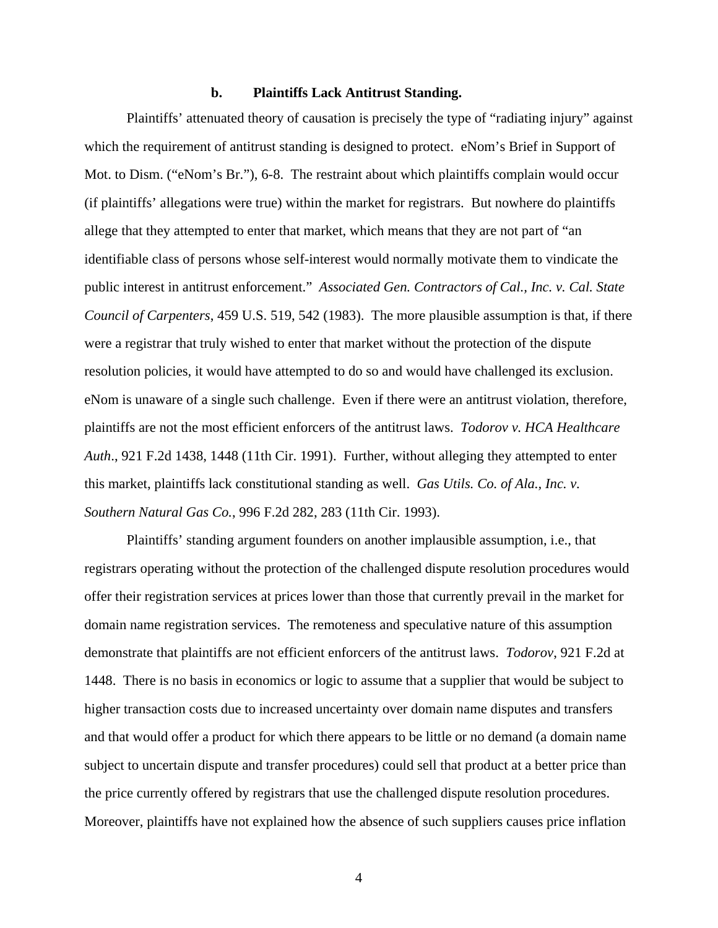#### **b. Plaintiffs Lack Antitrust Standing.**

Plaintiffs' attenuated theory of causation is precisely the type of "radiating injury" against which the requirement of antitrust standing is designed to protect. eNom's Brief in Support of Mot. to Dism. ("eNom's Br."), 6-8. The restraint about which plaintiffs complain would occur (if plaintiffs' allegations were true) within the market for registrars. But nowhere do plaintiffs allege that they attempted to enter that market, which means that they are not part of "an identifiable class of persons whose self-interest would normally motivate them to vindicate the public interest in antitrust enforcement." *Associated Gen. Contractors of Cal., Inc. v. Cal. State Council of Carpenters*, 459 U.S. 519, 542 (1983). The more plausible assumption is that, if there were a registrar that truly wished to enter that market without the protection of the dispute resolution policies, it would have attempted to do so and would have challenged its exclusion. eNom is unaware of a single such challenge. Even if there were an antitrust violation, therefore, plaintiffs are not the most efficient enforcers of the antitrust laws. *Todorov v. HCA Healthcare Auth*., 921 F.2d 1438, 1448 (11th Cir. 1991). Further, without alleging they attempted to enter this market, plaintiffs lack constitutional standing as well. *Gas Utils. Co. of Ala., Inc. v. Southern Natural Gas Co.*, 996 F.2d 282, 283 (11th Cir. 1993).

Plaintiffs' standing argument founders on another implausible assumption, i.e., that registrars operating without the protection of the challenged dispute resolution procedures would offer their registration services at prices lower than those that currently prevail in the market for domain name registration services. The remoteness and speculative nature of this assumption demonstrate that plaintiffs are not efficient enforcers of the antitrust laws. *Todorov*, 921 F.2d at 1448. There is no basis in economics or logic to assume that a supplier that would be subject to higher transaction costs due to increased uncertainty over domain name disputes and transfers and that would offer a product for which there appears to be little or no demand (a domain name subject to uncertain dispute and transfer procedures) could sell that product at a better price than the price currently offered by registrars that use the challenged dispute resolution procedures. Moreover, plaintiffs have not explained how the absence of such suppliers causes price inflation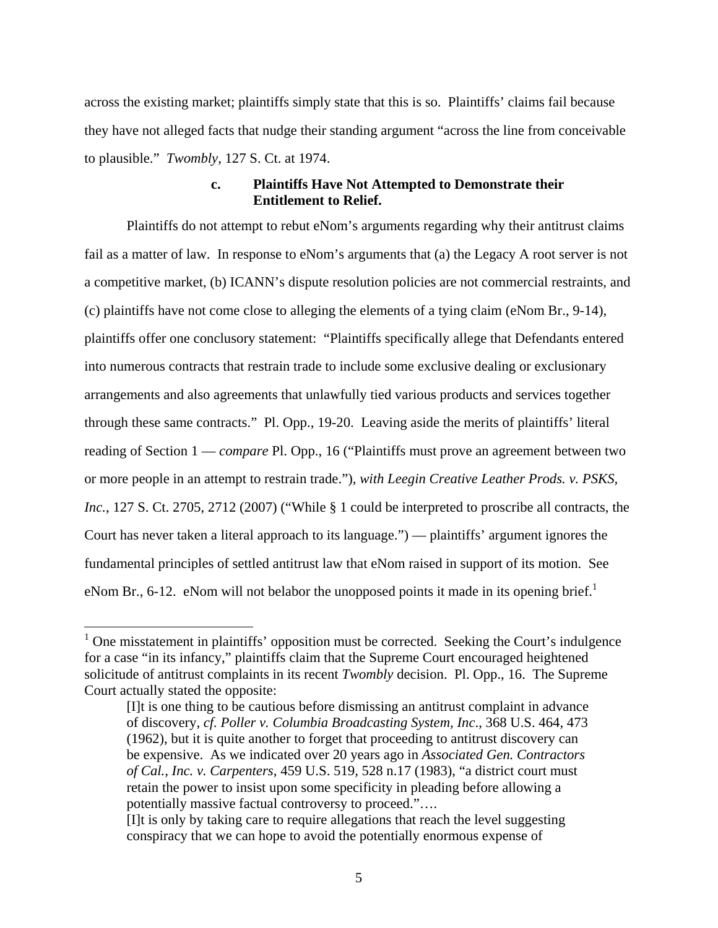across the existing market; plaintiffs simply state that this is so. Plaintiffs' claims fail because they have not alleged facts that nudge their standing argument "across the line from conceivable to plausible." *Twombly*, 127 S. Ct. at 1974.

# **c. Plaintiffs Have Not Attempted to Demonstrate their Entitlement to Relief.**

Plaintiffs do not attempt to rebut eNom's arguments regarding why their antitrust claims fail as a matter of law. In response to eNom's arguments that (a) the Legacy A root server is not a competitive market, (b) ICANN's dispute resolution policies are not commercial restraints, and (c) plaintiffs have not come close to alleging the elements of a tying claim (eNom Br., 9-14), plaintiffs offer one conclusory statement: "Plaintiffs specifically allege that Defendants entered into numerous contracts that restrain trade to include some exclusive dealing or exclusionary arrangements and also agreements that unlawfully tied various products and services together through these same contracts." Pl. Opp., 19-20. Leaving aside the merits of plaintiffs' literal reading of Section 1 — *compare* Pl. Opp., 16 ("Plaintiffs must prove an agreement between two or more people in an attempt to restrain trade."), *with Leegin Creative Leather Prods. v. PSKS, Inc.*, 127 S. Ct. 2705, 2712 (2007) ("While § 1 could be interpreted to proscribe all contracts, the Court has never taken a literal approach to its language.") — plaintiffs' argument ignores the fundamental principles of settled antitrust law that eNom raised in support of its motion. See eNom Br., 6-12. eNom will not belabor the unopposed points it made in its opening brief.<sup>1</sup>

 $<sup>1</sup>$  One misstatement in plaintiffs' opposition must be corrected. Seeking the Court's indulgence</sup> for a case "in its infancy," plaintiffs claim that the Supreme Court encouraged heightened solicitude of antitrust complaints in its recent *Twombly* decision. Pl. Opp., 16. The Supreme Court actually stated the opposite:

<sup>[</sup>I]t is one thing to be cautious before dismissing an antitrust complaint in advance of discovery, *cf. Poller v. Columbia Broadcasting System, Inc*., 368 U.S. 464, 473 (1962), but it is quite another to forget that proceeding to antitrust discovery can be expensive. As we indicated over 20 years ago in *Associated Gen. Contractors of Cal., Inc. v. Carpenters*, 459 U.S. 519, 528 n.17 (1983), "a district court must retain the power to insist upon some specificity in pleading before allowing a potentially massive factual controversy to proceed."….

<sup>[</sup>I]t is only by taking care to require allegations that reach the level suggesting conspiracy that we can hope to avoid the potentially enormous expense of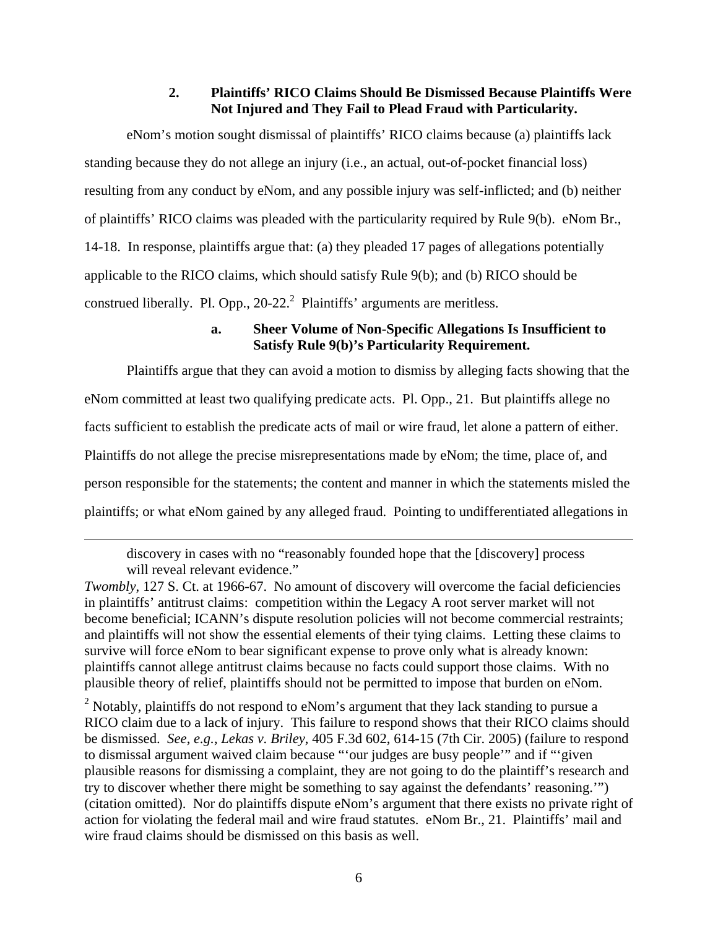# **2. Plaintiffs' RICO Claims Should Be Dismissed Because Plaintiffs Were Not Injured and They Fail to Plead Fraud with Particularity.**

eNom's motion sought dismissal of plaintiffs' RICO claims because (a) plaintiffs lack standing because they do not allege an injury (i.e., an actual, out-of-pocket financial loss) resulting from any conduct by eNom, and any possible injury was self-inflicted; and (b) neither of plaintiffs' RICO claims was pleaded with the particularity required by Rule 9(b). eNom Br., 14-18. In response, plaintiffs argue that: (a) they pleaded 17 pages of allegations potentially applicable to the RICO claims, which should satisfy Rule 9(b); and (b) RICO should be construed liberally. Pl. Opp.,  $20-22$ <sup>2</sup> Plaintiffs' arguments are meritless.

# **a. Sheer Volume of Non-Specific Allegations Is Insufficient to Satisfy Rule 9(b)'s Particularity Requirement.**

Plaintiffs argue that they can avoid a motion to dismiss by alleging facts showing that the eNom committed at least two qualifying predicate acts. Pl. Opp., 21. But plaintiffs allege no facts sufficient to establish the predicate acts of mail or wire fraud, let alone a pattern of either. Plaintiffs do not allege the precise misrepresentations made by eNom; the time, place of, and person responsible for the statements; the content and manner in which the statements misled the plaintiffs; or what eNom gained by any alleged fraud. Pointing to undifferentiated allegations in

discovery in cases with no "reasonably founded hope that the [discovery] process will reveal relevant evidence."

 $\overline{a}$ 

*Twombly*, 127 S. Ct. at 1966-67. No amount of discovery will overcome the facial deficiencies in plaintiffs' antitrust claims: competition within the Legacy A root server market will not become beneficial; ICANN's dispute resolution policies will not become commercial restraints; and plaintiffs will not show the essential elements of their tying claims. Letting these claims to survive will force eNom to bear significant expense to prove only what is already known: plaintiffs cannot allege antitrust claims because no facts could support those claims. With no plausible theory of relief, plaintiffs should not be permitted to impose that burden on eNom.

 $2$  Notably, plaintiffs do not respond to eNom's argument that they lack standing to pursue a RICO claim due to a lack of injury. This failure to respond shows that their RICO claims should be dismissed. *See*, *e.g.*, *Lekas v. Briley*, 405 F.3d 602, 614-15 (7th Cir. 2005) (failure to respond to dismissal argument waived claim because "'our judges are busy people'" and if "'given plausible reasons for dismissing a complaint, they are not going to do the plaintiff's research and try to discover whether there might be something to say against the defendants' reasoning.'") (citation omitted). Nor do plaintiffs dispute eNom's argument that there exists no private right of action for violating the federal mail and wire fraud statutes. eNom Br., 21. Plaintiffs' mail and wire fraud claims should be dismissed on this basis as well.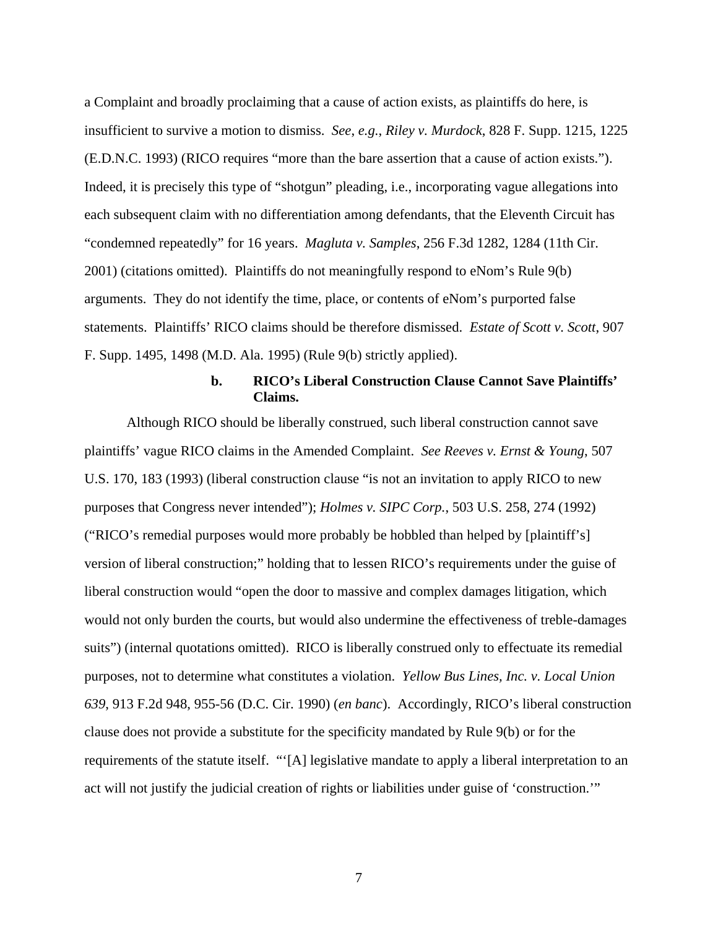a Complaint and broadly proclaiming that a cause of action exists, as plaintiffs do here, is insufficient to survive a motion to dismiss. *See*, *e.g.*, *Riley v. Murdock*, 828 F. Supp. 1215, 1225 (E.D.N.C. 1993) (RICO requires "more than the bare assertion that a cause of action exists."). Indeed, it is precisely this type of "shotgun" pleading, i.e., incorporating vague allegations into each subsequent claim with no differentiation among defendants, that the Eleventh Circuit has "condemned repeatedly" for 16 years. *Magluta v. Samples*, 256 F.3d 1282, 1284 (11th Cir. 2001) (citations omitted). Plaintiffs do not meaningfully respond to eNom's Rule 9(b) arguments. They do not identify the time, place, or contents of eNom's purported false statements. Plaintiffs' RICO claims should be therefore dismissed. *Estate of Scott v. Scott*, 907 F. Supp. 1495, 1498 (M.D. Ala. 1995) (Rule 9(b) strictly applied).

# **b. RICO's Liberal Construction Clause Cannot Save Plaintiffs' Claims.**

Although RICO should be liberally construed, such liberal construction cannot save plaintiffs' vague RICO claims in the Amended Complaint. *See Reeves v. Ernst & Young*, 507 U.S. 170, 183 (1993) (liberal construction clause "is not an invitation to apply RICO to new purposes that Congress never intended"); *Holmes v. SIPC Corp.*, 503 U.S. 258, 274 (1992) ("RICO's remedial purposes would more probably be hobbled than helped by [plaintiff's] version of liberal construction;" holding that to lessen RICO's requirements under the guise of liberal construction would "open the door to massive and complex damages litigation, which would not only burden the courts, but would also undermine the effectiveness of treble-damages suits") (internal quotations omitted). RICO is liberally construed only to effectuate its remedial purposes, not to determine what constitutes a violation. *Yellow Bus Lines, Inc. v. Local Union 639*, 913 F.2d 948, 955-56 (D.C. Cir. 1990) (*en banc*). Accordingly, RICO's liberal construction clause does not provide a substitute for the specificity mandated by Rule 9(b) or for the requirements of the statute itself. "'[A] legislative mandate to apply a liberal interpretation to an act will not justify the judicial creation of rights or liabilities under guise of 'construction.'"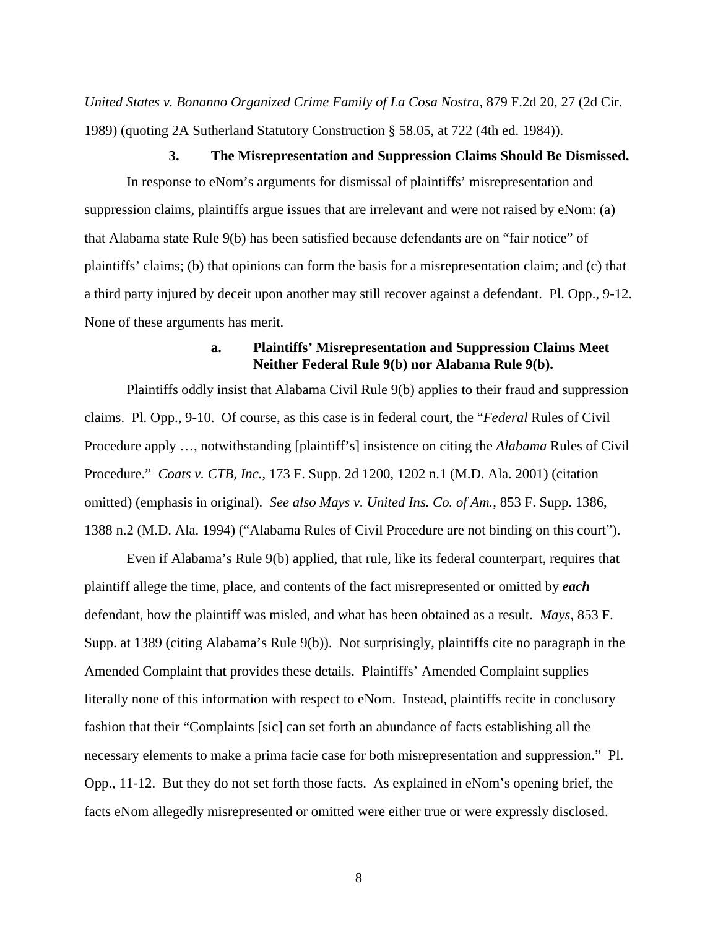*United States v. Bonanno Organized Crime Family of La Cosa Nostra*, 879 F.2d 20, 27 (2d Cir. 1989) (quoting 2A Sutherland Statutory Construction § 58.05, at 722 (4th ed. 1984)).

#### **3. The Misrepresentation and Suppression Claims Should Be Dismissed.**

In response to eNom's arguments for dismissal of plaintiffs' misrepresentation and suppression claims, plaintiffs argue issues that are irrelevant and were not raised by eNom: (a) that Alabama state Rule 9(b) has been satisfied because defendants are on "fair notice" of plaintiffs' claims; (b) that opinions can form the basis for a misrepresentation claim; and (c) that a third party injured by deceit upon another may still recover against a defendant. Pl. Opp., 9-12. None of these arguments has merit.

# **a. Plaintiffs' Misrepresentation and Suppression Claims Meet Neither Federal Rule 9(b) nor Alabama Rule 9(b).**

Plaintiffs oddly insist that Alabama Civil Rule 9(b) applies to their fraud and suppression claims. Pl. Opp., 9-10. Of course, as this case is in federal court, the "*Federal* Rules of Civil Procedure apply …, notwithstanding [plaintiff's] insistence on citing the *Alabama* Rules of Civil Procedure." *Coats v. CTB, Inc.*, 173 F. Supp. 2d 1200, 1202 n.1 (M.D. Ala. 2001) (citation omitted) (emphasis in original). *See also Mays v. United Ins. Co. of Am.*, 853 F. Supp. 1386, 1388 n.2 (M.D. Ala. 1994) ("Alabama Rules of Civil Procedure are not binding on this court").

Even if Alabama's Rule 9(b) applied, that rule, like its federal counterpart, requires that plaintiff allege the time, place, and contents of the fact misrepresented or omitted by *each* defendant, how the plaintiff was misled, and what has been obtained as a result. *Mays*, 853 F. Supp. at 1389 (citing Alabama's Rule 9(b)). Not surprisingly, plaintiffs cite no paragraph in the Amended Complaint that provides these details. Plaintiffs' Amended Complaint supplies literally none of this information with respect to eNom. Instead, plaintiffs recite in conclusory fashion that their "Complaints [sic] can set forth an abundance of facts establishing all the necessary elements to make a prima facie case for both misrepresentation and suppression." Pl. Opp., 11-12. But they do not set forth those facts. As explained in eNom's opening brief, the facts eNom allegedly misrepresented or omitted were either true or were expressly disclosed.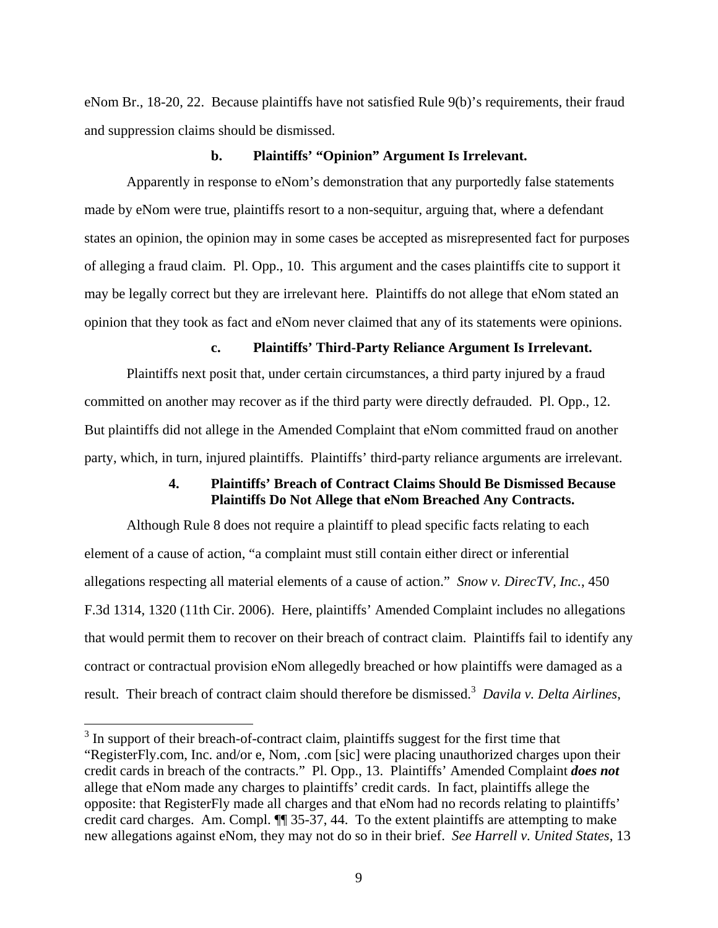eNom Br., 18-20, 22. Because plaintiffs have not satisfied Rule 9(b)'s requirements, their fraud and suppression claims should be dismissed.

#### **b. Plaintiffs' "Opinion" Argument Is Irrelevant.**

Apparently in response to eNom's demonstration that any purportedly false statements made by eNom were true, plaintiffs resort to a non-sequitur, arguing that, where a defendant states an opinion, the opinion may in some cases be accepted as misrepresented fact for purposes of alleging a fraud claim. Pl. Opp., 10. This argument and the cases plaintiffs cite to support it may be legally correct but they are irrelevant here. Plaintiffs do not allege that eNom stated an opinion that they took as fact and eNom never claimed that any of its statements were opinions.

# **c. Plaintiffs' Third-Party Reliance Argument Is Irrelevant.**

Plaintiffs next posit that, under certain circumstances, a third party injured by a fraud committed on another may recover as if the third party were directly defrauded. Pl. Opp., 12. But plaintiffs did not allege in the Amended Complaint that eNom committed fraud on another party, which, in turn, injured plaintiffs. Plaintiffs' third-party reliance arguments are irrelevant.

# **4. Plaintiffs' Breach of Contract Claims Should Be Dismissed Because Plaintiffs Do Not Allege that eNom Breached Any Contracts.**

Although Rule 8 does not require a plaintiff to plead specific facts relating to each element of a cause of action, "a complaint must still contain either direct or inferential allegations respecting all material elements of a cause of action." *Snow v. DirecTV, Inc.*, 450 F.3d 1314, 1320 (11th Cir. 2006). Here, plaintiffs' Amended Complaint includes no allegations that would permit them to recover on their breach of contract claim. Plaintiffs fail to identify any contract or contractual provision eNom allegedly breached or how plaintiffs were damaged as a result. Their breach of contract claim should therefore be dismissed.<sup>3</sup> Davila v. Delta Airlines,

 $\overline{a}$ 

 $3$  In support of their breach-of-contract claim, plaintiffs suggest for the first time that "RegisterFly.com, Inc. and/or e, Nom, .com [sic] were placing unauthorized charges upon their credit cards in breach of the contracts." Pl. Opp., 13. Plaintiffs' Amended Complaint *does not*  allege that eNom made any charges to plaintiffs' credit cards. In fact, plaintiffs allege the opposite: that RegisterFly made all charges and that eNom had no records relating to plaintiffs' credit card charges. Am. Compl. ¶¶ 35-37, 44. To the extent plaintiffs are attempting to make new allegations against eNom, they may not do so in their brief. *See Harrell v. United States*, 13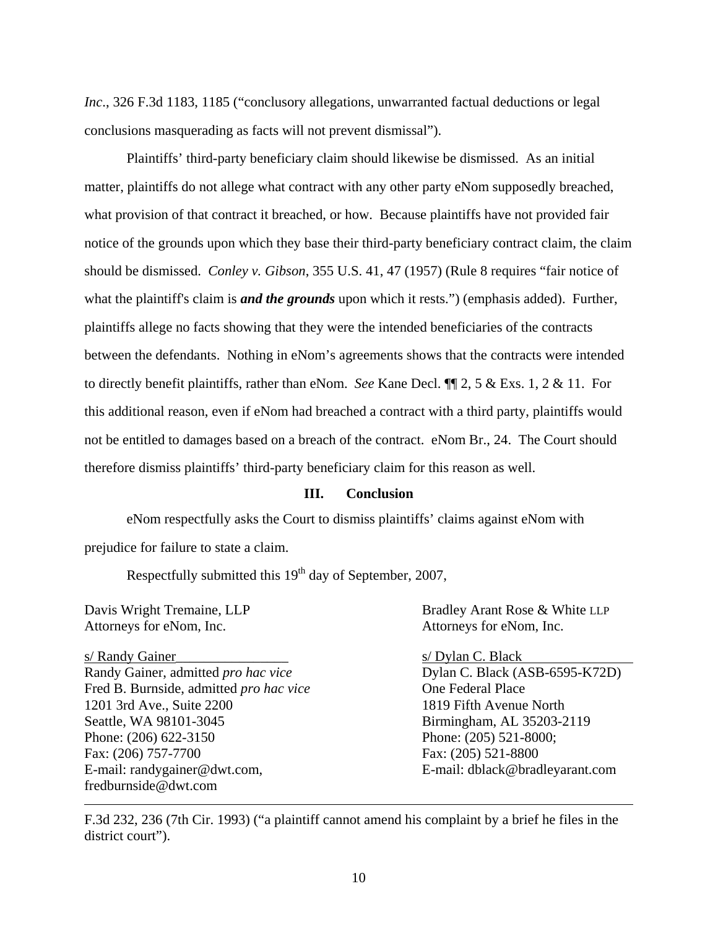*Inc*., 326 F.3d 1183, 1185 ("conclusory allegations, unwarranted factual deductions or legal conclusions masquerading as facts will not prevent dismissal").

Plaintiffs' third-party beneficiary claim should likewise be dismissed. As an initial matter, plaintiffs do not allege what contract with any other party eNom supposedly breached, what provision of that contract it breached, or how. Because plaintiffs have not provided fair notice of the grounds upon which they base their third-party beneficiary contract claim, the claim should be dismissed. *Conley v. Gibson*, 355 U.S. 41, 47 (1957) (Rule 8 requires "fair notice of what the plaintiff's claim is *and the grounds* upon which it rests.") (emphasis added). Further, plaintiffs allege no facts showing that they were the intended beneficiaries of the contracts between the defendants. Nothing in eNom's agreements shows that the contracts were intended to directly benefit plaintiffs, rather than eNom. *See* Kane Decl. ¶¶ 2, 5 & Exs. 1, 2 & 11. For this additional reason, even if eNom had breached a contract with a third party, plaintiffs would not be entitled to damages based on a breach of the contract. eNom Br., 24. The Court should therefore dismiss plaintiffs' third-party beneficiary claim for this reason as well.

## **III. Conclusion**

eNom respectfully asks the Court to dismiss plaintiffs' claims against eNom with prejudice for failure to state a claim.

Respectfully submitted this  $19<sup>th</sup>$  day of September, 2007,

Attorneys for eNom, Inc. Attorneys for eNom, Inc.

 $\overline{a}$ 

s/ Randy Gainer\_\_\_\_\_\_\_\_\_\_\_\_\_\_\_\_ s/ Dylan C. Black Randy Gainer, admitted *pro hac vice* Dylan C. Black (ASB-6595-K72D) Fred B. Burnside, admitted *pro hac vice* One Federal Place 1201 3rd Ave., Suite 2200 1819 Fifth Avenue North Seattle, WA 98101-3045 Birmingham, AL 35203-2119 Phone: (206) 622-3150 Phone: (205) 521-8000; Fax: (206) 757-7700 Fax: (205) 521-8800 E-mail: randygainer@dwt.com, E-mail: dblack@bradleyarant.com fredburnside@dwt.com

Davis Wright Tremaine, LLP Bradley Arant Rose & White LLP

F.3d 232, 236 (7th Cir. 1993) ("a plaintiff cannot amend his complaint by a brief he files in the district court").